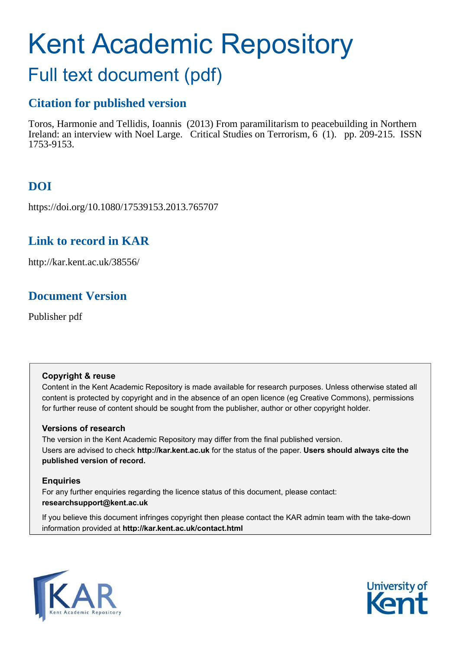# Kent Academic Repository

## Full text document (pdf)

## **Citation for published version**

Toros, Harmonie and Tellidis, Ioannis (2013) From paramilitarism to peacebuilding in Northern Ireland: an interview with Noel Large. Critical Studies on Terrorism, 6 (1). pp. 209-215. ISSN 1753-9153.

## **DOI**

https://doi.org/10.1080/17539153.2013.765707

## **Link to record in KAR**

http://kar.kent.ac.uk/38556/

## **Document Version**

Publisher pdf

#### **Copyright & reuse**

Content in the Kent Academic Repository is made available for research purposes. Unless otherwise stated all content is protected by copyright and in the absence of an open licence (eg Creative Commons), permissions for further reuse of content should be sought from the publisher, author or other copyright holder.

#### **Versions of research**

The version in the Kent Academic Repository may differ from the final published version. Users are advised to check **http://kar.kent.ac.uk** for the status of the paper. **Users should always cite the published version of record.**

#### **Enquiries**

For any further enquiries regarding the licence status of this document, please contact: **researchsupport@kent.ac.uk**

If you believe this document infringes copyright then please contact the KAR admin team with the take-down information provided at **http://kar.kent.ac.uk/contact.html**



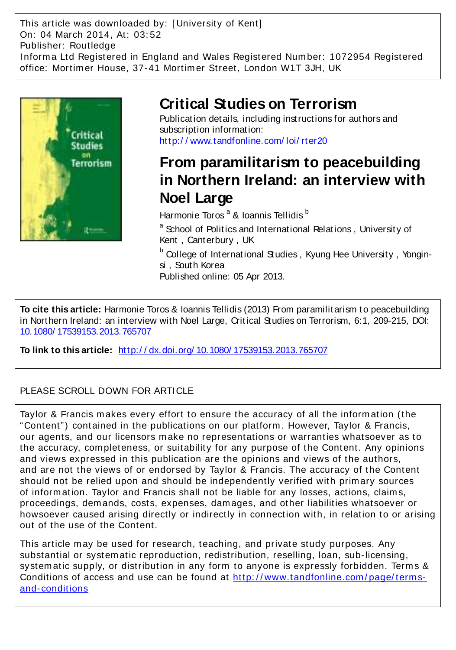This article was downloaded by: [ University of Kent] On: 04 March 2014, At: 03: 52 Publisher: Routledge I nform a Ltd Registered in England and Wales Registered Num ber: 1072954 Registered office: Mortim er House, 37-41 Mortim er Street, London W1T 3JH, UK



## **Critical Studies on Terrorism**

Publication details, including instructions for authors and subscription information: [http:/ / www.tandfonline.com/ loi/ rter20](http://www.tandfonline.com/loi/rter20)

## **From paramilitarism to peacebuilding in Northern Ireland: an interview with Noel Large**

Harmonie Toros<sup>a</sup> & Ioannis Tellidis <sup>b</sup> <sup>a</sup> School of Politics and International Relations, University of Kent , Canterbury , UK <sup>b</sup> College of International Studies, Kyung Hee University, Yonginsi , South Korea Published online: 05 Apr 2013.

**To cite this article:** Harmonie Toros & Ioannis Tellidis (2013) From paramilitarism to peacebuilding in Northern Ireland: an interview with Noel Large, Critical Studies on Terrorism, 6:1, 209-215, DOI: [10.1080/ 17539153.2013.765707](http://www.tandfonline.com/action/showCitFormats?doi=10.1080/17539153.2013.765707)

**To link to this article:** [http:/ / dx.doi.org/ 10.1080/ 17539153.2013.765707](http://dx.doi.org/10.1080/17539153.2013.765707)

#### PLEASE SCROLL DOWN FOR ARTICLE

Taylor & Francis m akes every effort to ensure the accuracy of all the inform ation (the "Content") contained in the publications on our platform . However, Taylor & Francis, our agents, and our licensors m ake no representations or warranties whatsoever as to the accuracy, com pleteness, or suitability for any purpose of the Content. Any opinions and views expressed in this publication are the opinions and views of the authors, and are not the views of or endorsed by Taylor & Francis. The accuracy of the Content should not be relied upon and should be independently verified with primary sources of inform ation. Taylor and Francis shall not be liable for any losses, actions, claim s, proceedings, dem ands, costs, expenses, dam ages, and other liabilities whatsoever or howsoever caused arising directly or indirectly in connection with, in relation to or arising out of the use of the Content.

This article m ay be used for research, teaching, and private study purposes. Any substantial or system atic reproduction, redistribution, reselling, loan, sub-licensing, system atic supply, or distribution in any form to anyone is expressly forbidden. Terms & Conditions of access and use can be found at [http: / / www.tandfonline.com / page/ term s](http://www.tandfonline.com/page/terms-and-conditions)[and-conditions](http://www.tandfonline.com/page/terms-and-conditions)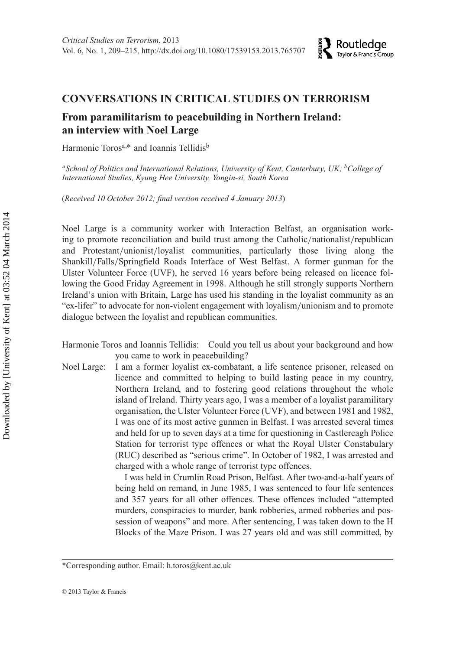

#### **CONVERSATIONS IN CRITICAL STUDIES ON TERRORISM**

#### **From paramilitarism to peacebuilding in Northern Ireland: an interview with Noel Large**

Harmonie Toros<sup>a,\*</sup> and Ioannis Tellidis<sup>b</sup>

*<sup>a</sup>School of Politics and International Relations, University of Kent, Canterbury, UK; <sup>b</sup>College of International Studies, Kyung Hee University, Yongin-si, South Korea*

(*Received 10 October 2012; final version received 4 January 2013*)

Noel Large is a community worker with Interaction Belfast, an organisation working to promote reconciliation and build trust among the Catholic/nationalist/republican and Protestant/unionist/loyalist communities, particularly those living along the Shankill/Falls/Springfield Roads Interface of West Belfast. A former gunman for the Ulster Volunteer Force (UVF), he served 16 years before being released on licence following the Good Friday Agreement in 1998. Although he still strongly supports Northern Ireland's union with Britain, Large has used his standing in the loyalist community as an "ex-lifer" to advocate for non-violent engagement with loyalism/unionism and to promote dialogue between the loyalist and republican communities.

Harmonie Toros and Ioannis Tellidis: Could you tell us about your background and how you came to work in peacebuilding?

Noel Large: I am a former loyalist ex-combatant, a life sentence prisoner, released on licence and committed to helping to build lasting peace in my country, Northern Ireland, and to fostering good relations throughout the whole island of Ireland. Thirty years ago, I was a member of a loyalist paramilitary organisation, the Ulster Volunteer Force (UVF), and between 1981 and 1982, I was one of its most active gunmen in Belfast. I was arrested several times and held for up to seven days at a time for questioning in Castlereagh Police Station for terrorist type offences or what the Royal Ulster Constabulary (RUC) described as "serious crime". In October of 1982, I was arrested and charged with a whole range of terrorist type offences.

> I was held in Crumlin Road Prison, Belfast. After two-and-a-half years of being held on remand, in June 1985, I was sentenced to four life sentences and 357 years for all other offences. These offences included "attempted murders, conspiracies to murder, bank robberies, armed robberies and possession of weapons" and more. After sentencing, I was taken down to the H Blocks of the Maze Prison. I was 27 years old and was still committed, by

<sup>\*</sup>Corresponding author. Email: [h.toros@kent.ac.uk](mailto:h.toros@kent.ac.uk)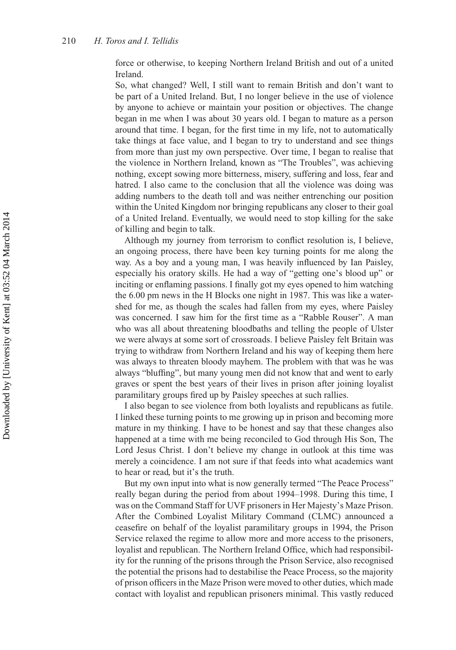force or otherwise, to keeping Northern Ireland British and out of a united Ireland.

So, what changed? Well, I still want to remain British and don't want to be part of a United Ireland. But, I no longer believe in the use of violence by anyone to achieve or maintain your position or objectives. The change began in me when I was about 30 years old. I began to mature as a person around that time. I began, for the first time in my life, not to automatically take things at face value, and I began to try to understand and see things from more than just my own perspective. Over time, I began to realise that the violence in Northern Ireland, known as "The Troubles", was achieving nothing, except sowing more bitterness, misery, suffering and loss, fear and hatred. I also came to the conclusion that all the violence was doing was adding numbers to the death toll and was neither entrenching our position within the United Kingdom nor bringing republicans any closer to their goal of a United Ireland. Eventually, we would need to stop killing for the sake of killing and begin to talk.

Although my journey from terrorism to conflict resolution is, I believe, an ongoing process, there have been key turning points for me along the way. As a boy and a young man, I was heavily influenced by Ian Paisley, especially his oratory skills. He had a way of "getting one's blood up" or inciting or enflaming passions. I finally got my eyes opened to him watching the 6.00 pm news in the H Blocks one night in 1987. This was like a watershed for me, as though the scales had fallen from my eyes, where Paisley was concerned. I saw him for the first time as a "Rabble Rouser". A man who was all about threatening bloodbaths and telling the people of Ulster we were always at some sort of crossroads. I believe Paisley felt Britain was trying to withdraw from Northern Ireland and his way of keeping them here was always to threaten bloody mayhem. The problem with that was he was always "bluffing", but many young men did not know that and went to early graves or spent the best years of their lives in prison after joining loyalist paramilitary groups fired up by Paisley speeches at such rallies.

I also began to see violence from both loyalists and republicans as futile. I linked these turning points to me growing up in prison and becoming more mature in my thinking. I have to be honest and say that these changes also happened at a time with me being reconciled to God through His Son, The Lord Jesus Christ. I don't believe my change in outlook at this time was merely a coincidence. I am not sure if that feeds into what academics want to hear or read, but it's the truth.

But my own input into what is now generally termed "The Peace Process" really began during the period from about 1994–1998. During this time, I was on the Command Staff for UVF prisoners in Her Majesty's Maze Prison. After the Combined Loyalist Military Command (CLMC) announced a ceasefire on behalf of the loyalist paramilitary groups in 1994, the Prison Service relaxed the regime to allow more and more access to the prisoners, loyalist and republican. The Northern Ireland Office, which had responsibility for the running of the prisons through the Prison Service, also recognised the potential the prisons had to destabilise the Peace Process, so the majority of prison officers in the Maze Prison were moved to other duties, which made contact with loyalist and republican prisoners minimal. This vastly reduced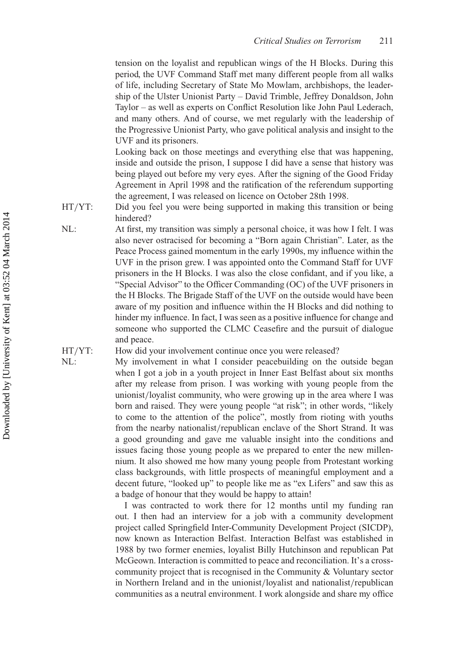tension on the loyalist and republican wings of the H Blocks. During this period, the UVF Command Staff met many different people from all walks of life, including Secretary of State Mo Mowlam, archbishops, the leadership of the Ulster Unionist Party – David Trimble, Jeffrey Donaldson, John Taylor – as well as experts on Conflict Resolution like John Paul Lederach, and many others. And of course, we met regularly with the leadership of the Progressive Unionist Party, who gave political analysis and insight to the UVF and its prisoners.

Looking back on those meetings and everything else that was happening, inside and outside the prison, I suppose I did have a sense that history was being played out before my very eyes. After the signing of the Good Friday Agreement in April 1998 and the ratification of the referendum supporting the agreement, I was released on licence on October 28th 1998.

- HT/YT: Did you feel you were being supported in making this transition or being hindered?
- NL: At first, my transition was simply a personal choice, it was how I felt. I was also never ostracised for becoming a "Born again Christian". Later, as the Peace Process gained momentum in the early 1990s, my influence within the UVF in the prison grew. I was appointed onto the Command Staff for UVF prisoners in the H Blocks. I was also the close confidant, and if you like, a "Special Advisor" to the Officer Commanding (OC) of the UVF prisoners in the H Blocks. The Brigade Staff of the UVF on the outside would have been aware of my position and influence within the H Blocks and did nothing to hinder my influence. In fact, I was seen as a positive influence for change and someone who supported the CLMC Ceasefire and the pursuit of dialogue and peace.

HT/YT: How did your involvement continue once you were released?

NL: My involvement in what I consider peacebuilding on the outside began when I got a job in a youth project in Inner East Belfast about six months after my release from prison. I was working with young people from the unionist/loyalist community, who were growing up in the area where I was born and raised. They were young people "at risk"; in other words, "likely to come to the attention of the police", mostly from rioting with youths from the nearby nationalist/republican enclave of the Short Strand. It was a good grounding and gave me valuable insight into the conditions and issues facing those young people as we prepared to enter the new millennium. It also showed me how many young people from Protestant working class backgrounds, with little prospects of meaningful employment and a decent future, "looked up" to people like me as "ex Lifers" and saw this as a badge of honour that they would be happy to attain!

> I was contracted to work there for 12 months until my funding ran out. I then had an interview for a job with a community development project called Springfield Inter-Community Development Project (SICDP), now known as Interaction Belfast. Interaction Belfast was established in 1988 by two former enemies, loyalist Billy Hutchinson and republican Pat McGeown. Interaction is committed to peace and reconciliation. It's a crosscommunity project that is recognised in the Community & Voluntary sector in Northern Ireland and in the unionist/loyalist and nationalist/republican communities as a neutral environment. I work alongside and share my office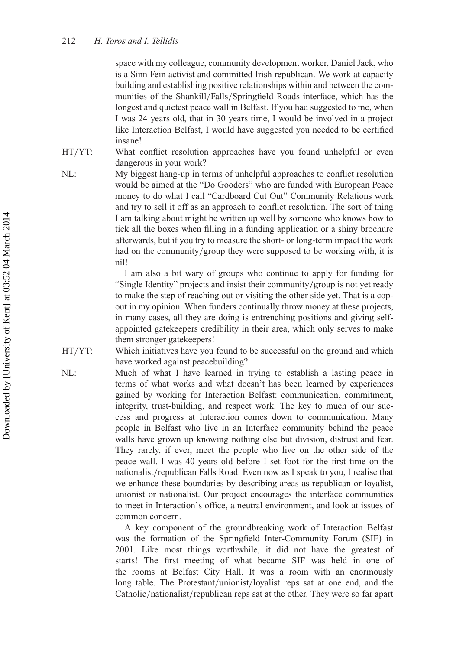space with my colleague, community development worker, Daniel Jack, who is a Sinn Fein activist and committed Irish republican. We work at capacity building and establishing positive relationships within and between the communities of the Shankill/Falls/Springfield Roads interface, which has the longest and quietest peace wall in Belfast. If you had suggested to me, when I was 24 years old, that in 30 years time, I would be involved in a project like Interaction Belfast, I would have suggested you needed to be certified insane!

- HT/YT: What conflict resolution approaches have you found unhelpful or even dangerous in your work?
- NL: My biggest hang-up in terms of unhelpful approaches to conflict resolution would be aimed at the "Do Gooders" who are funded with European Peace money to do what I call "Cardboard Cut Out" Community Relations work and try to sell it off as an approach to conflict resolution. The sort of thing I am talking about might be written up well by someone who knows how to tick all the boxes when filling in a funding application or a shiny brochure afterwards, but if you try to measure the short- or long-term impact the work had on the community/group they were supposed to be working with, it is nil!

I am also a bit wary of groups who continue to apply for funding for "Single Identity" projects and insist their community/group is not yet ready to make the step of reaching out or visiting the other side yet. That is a copout in my opinion. When funders continually throw money at these projects, in many cases, all they are doing is entrenching positions and giving selfappointed gatekeepers credibility in their area, which only serves to make them stronger gatekeepers!

HT/YT: Which initiatives have you found to be successful on the ground and which have worked against peacebuilding?

NL: Much of what I have learned in trying to establish a lasting peace in terms of what works and what doesn't has been learned by experiences gained by working for Interaction Belfast: communication, commitment, integrity, trust-building, and respect work. The key to much of our success and progress at Interaction comes down to communication. Many people in Belfast who live in an Interface community behind the peace walls have grown up knowing nothing else but division, distrust and fear. They rarely, if ever, meet the people who live on the other side of the peace wall. I was 40 years old before I set foot for the first time on the nationalist/republican Falls Road. Even now as I speak to you, I realise that we enhance these boundaries by describing areas as republican or loyalist, unionist or nationalist. Our project encourages the interface communities to meet in Interaction's office, a neutral environment, and look at issues of common concern.

> A key component of the groundbreaking work of Interaction Belfast was the formation of the Springfield Inter-Community Forum (SIF) in 2001. Like most things worthwhile, it did not have the greatest of starts! The first meeting of what became SIF was held in one of the rooms at Belfast City Hall. It was a room with an enormously long table. The Protestant/unionist/loyalist reps sat at one end, and the Catholic/nationalist/republican reps sat at the other. They were so far apart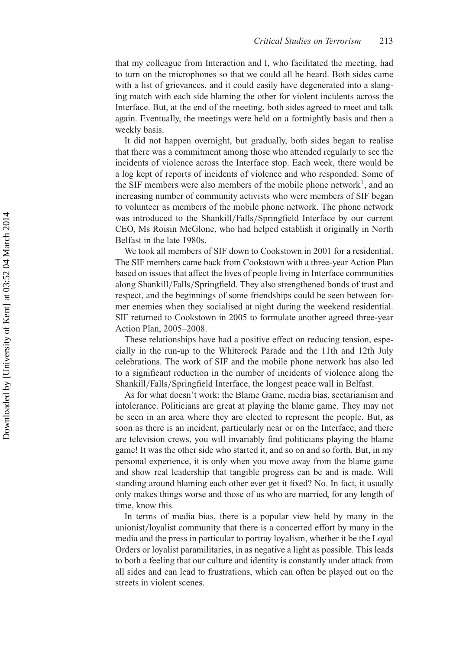that my colleague from Interaction and I, who facilitated the meeting, had to turn on the microphones so that we could all be heard. Both sides came with a list of grievances, and it could easily have degenerated into a slanging match with each side blaming the other for violent incidents across the Interface. But, at the end of the meeting, both sides agreed to meet and talk again. Eventually, the meetings were held on a fortnightly basis and then a weekly basis.

It did not happen overnight, but gradually, both sides began to realise that there was a commitment among those who attended regularly to see the incidents of violence across the Interface stop. Each week, there would be a log kept of reports of incidents of violence and who responded. Some of the SIF members were also members of the mobile phone network<sup>1</sup>, and an increasing number of community activists who were members of SIF began to volunteer as members of the mobile phone network. The phone network was introduced to the Shankill /Falls /Springfield Interface by our current CEO, Ms Roisin McGlone, who had helped establish it originally in North Belfast in the late 1980s.

We took all members of SIF down to Cookstown in 2001 for a residential. The SIF members came back from Cookstown with a three-year Action Plan based on issues that affect the lives of people living in Interface communities along Shankill /Falls /Springfield. They also strengthened bonds of trust and respect, and the beginnings of some friendships could be seen between former enemies when they socialised at night during the weekend residential. SIF returned to Cookstown in 2005 to formulate another agreed three-year Action Plan, 2005–2008.

These relationships have had a positive effect on reducing tension, especially in the run-up to the Whiterock Parade and the 11th and 12th July celebrations. The work of SIF and the mobile phone network has also led to a significant reduction in the number of incidents of violence along the Shankill /Falls /Springfield Interface, the longest peace wall in Belfast.

As for what doesn't work: the Blame Game, media bias, sectarianism and intolerance. Politicians are great at playing the blame game. They may not be seen in an area where they are elected to represent the people. But, as soon as there is an incident, particularly near or on the Interface, and there are television crews, you will invariably find politicians playing the blame game! It was the other side who started it, and so on and so forth. But, in my personal experience, it is only when you move away from the blame game and show real leadership that tangible progress can be and is made. Will standing around blaming each other ever get it fixed? No. In fact, it usually only makes things worse and those of us who are married, for any length of time, know this.

In terms of media bias, there is a popular view held by many in the unionist /loyalist community that there is a concerted effort by many in the media and the press in particular to portray loyalism, whether it be the Loyal Orders or loyalist paramilitaries, in as negative a light as possible. This leads to both a feeling that our culture and identity is constantly under attack from all sides and can lead to frustrations, which can often be played out on the streets in violent scenes.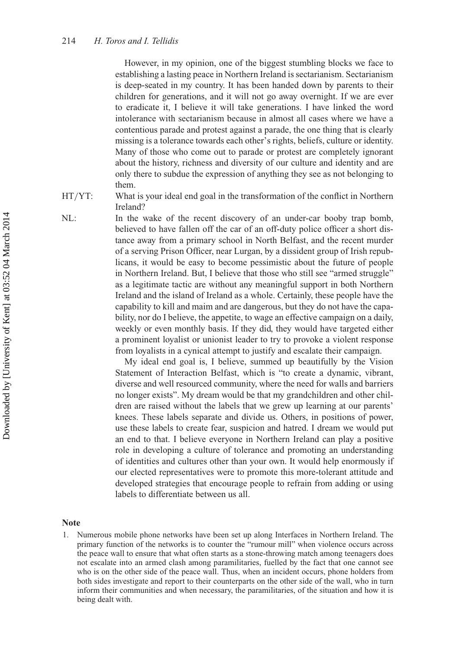However, in my opinion, one of the biggest stumbling blocks we face to establishing a lasting peace in Northern Ireland is sectarianism. Sectarianism is deep-seated in my country. It has been handed down by parents to their children for generations, and it will not go away overnight. If we are ever to eradicate it, I believe it will take generations. I have linked the word intolerance with sectarianism because in almost all cases where we have a contentious parade and protest against a parade, the one thing that is clearly missing is a tolerance towards each other's rights, beliefs, culture or identity. Many of those who come out to parade or protest are completely ignorant about the history, richness and diversity of our culture and identity and are only there to subdue the expression of anything they see as not belonging to them.

HT/YT: What is your ideal end goal in the transformation of the conflict in Northern Ireland?

NL: In the wake of the recent discovery of an under-car booby trap bomb, believed to have fallen off the car of an off-duty police officer a short distance away from a primary school in North Belfast, and the recent murder of a serving Prison Officer, near Lurgan, by a dissident group of Irish republicans, it would be easy to become pessimistic about the future of people in Northern Ireland. But, I believe that those who still see "armed struggle" as a legitimate tactic are without any meaningful support in both Northern Ireland and the island of Ireland as a whole. Certainly, these people have the capability to kill and maim and are dangerous, but they do not have the capability, nor do I believe, the appetite, to wage an effective campaign on a daily, weekly or even monthly basis. If they did, they would have targeted either a prominent loyalist or unionist leader to try to provoke a violent response from loyalists in a cynical attempt to justify and escalate their campaign.

> My ideal end goal is, I believe, summed up beautifully by the Vision Statement of Interaction Belfast, which is "to create a dynamic, vibrant, diverse and well resourced community, where the need for walls and barriers no longer exists". My dream would be that my grandchildren and other children are raised without the labels that we grew up learning at our parents' knees. These labels separate and divide us. Others, in positions of power, use these labels to create fear, suspicion and hatred. I dream we would put an end to that. I believe everyone in Northern Ireland can play a positive role in developing a culture of tolerance and promoting an understanding of identities and cultures other than your own. It would help enormously if our elected representatives were to promote this more-tolerant attitude and developed strategies that encourage people to refrain from adding or using labels to differentiate between us all.

#### **Note**

1. Numerous mobile phone networks have been set up along Interfaces in Northern Ireland. The primary function of the networks is to counter the "rumour mill" when violence occurs across the peace wall to ensure that what often starts as a stone-throwing match among teenagers does not escalate into an armed clash among paramilitaries, fuelled by the fact that one cannot see who is on the other side of the peace wall. Thus, when an incident occurs, phone holders from both sides investigate and report to their counterparts on the other side of the wall, who in turn inform their communities and when necessary, the paramilitaries, of the situation and how it is being dealt with.